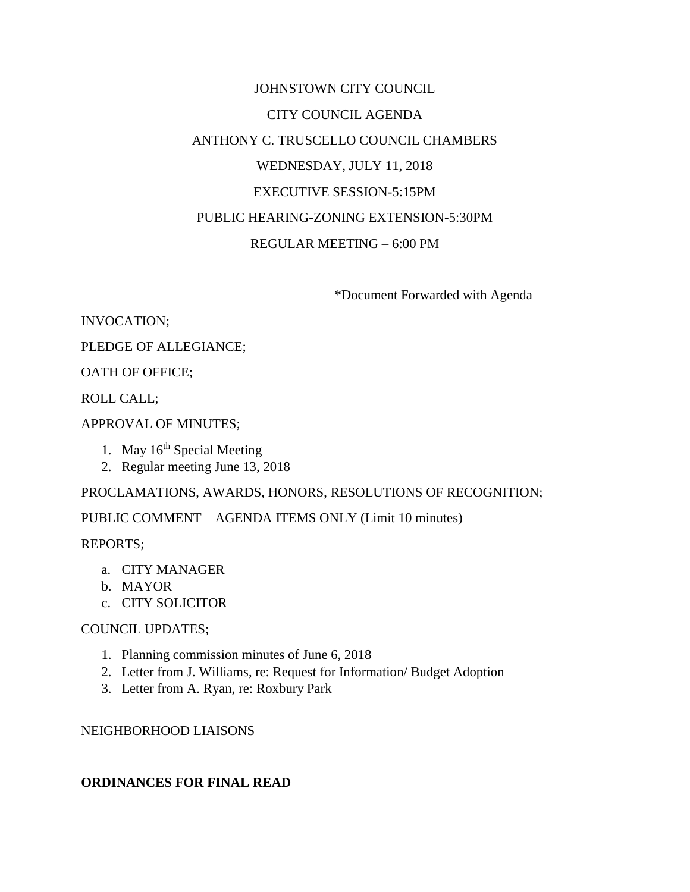# JOHNSTOWN CITY COUNCIL CITY COUNCIL AGENDA ANTHONY C. TRUSCELLO COUNCIL CHAMBERS WEDNESDAY, JULY 11, 2018 EXECUTIVE SESSION-5:15PM PUBLIC HEARING-ZONING EXTENSION-5:30PM REGULAR MEETING – 6:00 PM

\*Document Forwarded with Agenda

INVOCATION;

PLEDGE OF ALLEGIANCE;

OATH OF OFFICE;

ROLL CALL;

APPROVAL OF MINUTES;

- 1. May  $16<sup>th</sup>$  Special Meeting
- 2. Regular meeting June 13, 2018

PROCLAMATIONS, AWARDS, HONORS, RESOLUTIONS OF RECOGNITION;

PUBLIC COMMENT – AGENDA ITEMS ONLY (Limit 10 minutes)

REPORTS;

- a. CITY MANAGER
- b. MAYOR
- c. CITY SOLICITOR

### COUNCIL UPDATES;

- 1. Planning commission minutes of June 6, 2018
- 2. Letter from J. Williams, re: Request for Information/ Budget Adoption
- 3. Letter from A. Ryan, re: Roxbury Park

#### NEIGHBORHOOD LIAISONS

### **ORDINANCES FOR FINAL READ**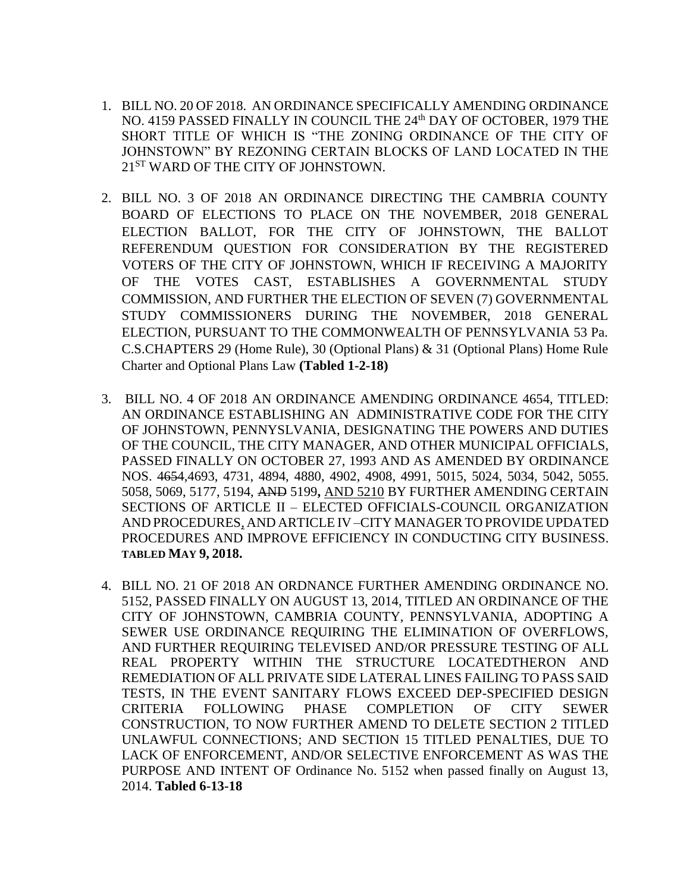- 1. BILL NO. 20 OF 2018. AN ORDINANCE SPECIFICALLY AMENDING ORDINANCE NO. 4159 PASSED FINALLY IN COUNCIL THE 24th DAY OF OCTOBER, 1979 THE SHORT TITLE OF WHICH IS "THE ZONING ORDINANCE OF THE CITY OF JOHNSTOWN" BY REZONING CERTAIN BLOCKS OF LAND LOCATED IN THE 21ST WARD OF THE CITY OF JOHNSTOWN.
- 2. BILL NO. 3 OF 2018 AN ORDINANCE DIRECTING THE CAMBRIA COUNTY BOARD OF ELECTIONS TO PLACE ON THE NOVEMBER, 2018 GENERAL ELECTION BALLOT, FOR THE CITY OF JOHNSTOWN, THE BALLOT REFERENDUM QUESTION FOR CONSIDERATION BY THE REGISTERED VOTERS OF THE CITY OF JOHNSTOWN, WHICH IF RECEIVING A MAJORITY OF THE VOTES CAST, ESTABLISHES A GOVERNMENTAL STUDY COMMISSION, AND FURTHER THE ELECTION OF SEVEN (7) GOVERNMENTAL STUDY COMMISSIONERS DURING THE NOVEMBER, 2018 GENERAL ELECTION, PURSUANT TO THE COMMONWEALTH OF PENNSYLVANIA 53 Pa. C.S.CHAPTERS 29 (Home Rule), 30 (Optional Plans) & 31 (Optional Plans) Home Rule Charter and Optional Plans Law **(Tabled 1-2-18)**
- 3. BILL NO. 4 OF 2018 AN ORDINANCE AMENDING ORDINANCE 4654, TITLED: AN ORDINANCE ESTABLISHING AN ADMINISTRATIVE CODE FOR THE CITY OF JOHNSTOWN, PENNYSLVANIA, DESIGNATING THE POWERS AND DUTIES OF THE COUNCIL, THE CITY MANAGER, AND OTHER MUNICIPAL OFFICIALS, PASSED FINALLY ON OCTOBER 27, 1993 AND AS AMENDED BY ORDINANCE NOS. 4654,4693, 4731, 4894, 4880, 4902, 4908, 4991, 5015, 5024, 5034, 5042, 5055. 5058, 5069, 5177, 5194, AND 5199**,** AND 5210 BY FURTHER AMENDING CERTAIN SECTIONS OF ARTICLE II – ELECTED OFFICIALS-COUNCIL ORGANIZATION AND PROCEDURES, AND ARTICLE IV –CITY MANAGERTO PROVIDE UPDATED PROCEDURES AND IMPROVE EFFICIENCY IN CONDUCTING CITY BUSINESS. **TABLED MAY 9, 2018.**
- 4. BILL NO. 21 OF 2018 AN ORDNANCE FURTHER AMENDING ORDINANCE NO. 5152, PASSED FINALLY ON AUGUST 13, 2014, TITLED AN ORDINANCE OF THE CITY OF JOHNSTOWN, CAMBRIA COUNTY, PENNSYLVANIA, ADOPTING A SEWER USE ORDINANCE REQUIRING THE ELIMINATION OF OVERFLOWS, AND FURTHER REQUIRING TELEVISED AND/OR PRESSURE TESTING OF ALL REAL PROPERTY WITHIN THE STRUCTURE LOCATEDTHERON AND REMEDIATION OF ALL PRIVATE SIDE LATERAL LINES FAILING TO PASS SAID TESTS, IN THE EVENT SANITARY FLOWS EXCEED DEP-SPECIFIED DESIGN CRITERIA FOLLOWING PHASE COMPLETION OF CITY SEWER CONSTRUCTION, TO NOW FURTHER AMEND TO DELETE SECTION 2 TITLED UNLAWFUL CONNECTIONS; AND SECTION 15 TITLED PENALTIES, DUE TO LACK OF ENFORCEMENT, AND/OR SELECTIVE ENFORCEMENT AS WAS THE PURPOSE AND INTENT OF Ordinance No. 5152 when passed finally on August 13, 2014. **Tabled 6-13-18**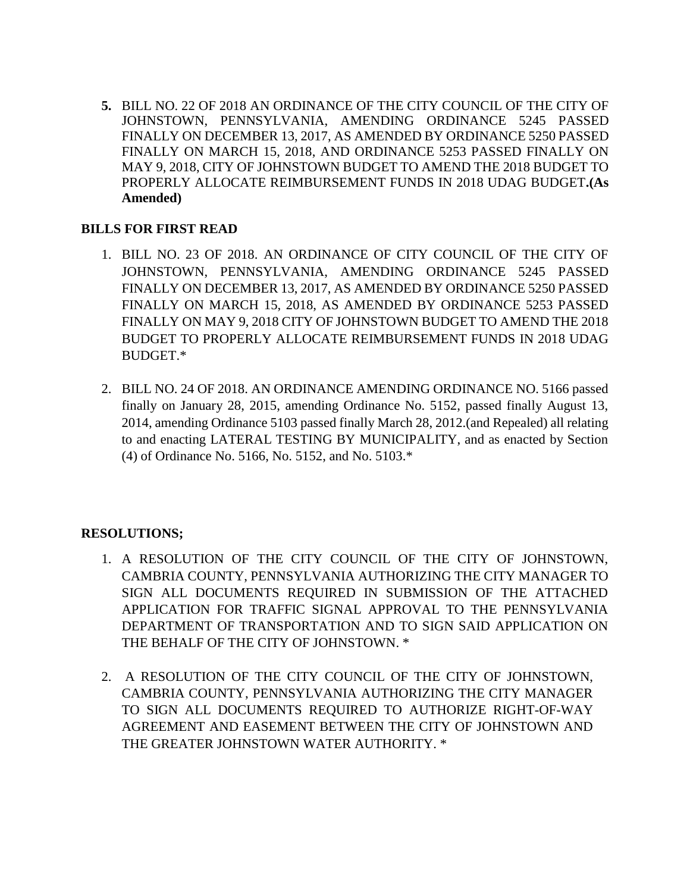**5.** BILL NO. 22 OF 2018 AN ORDINANCE OF THE CITY COUNCIL OF THE CITY OF JOHNSTOWN, PENNSYLVANIA, AMENDING ORDINANCE 5245 PASSED FINALLY ON DECEMBER 13, 2017, AS AMENDED BY ORDINANCE 5250 PASSED FINALLY ON MARCH 15, 2018, AND ORDINANCE 5253 PASSED FINALLY ON MAY 9, 2018, CITY OF JOHNSTOWN BUDGET TO AMEND THE 2018 BUDGET TO PROPERLY ALLOCATE REIMBURSEMENT FUNDS IN 2018 UDAG BUDGET**.(As Amended)**

### **BILLS FOR FIRST READ**

- 1. BILL NO. 23 OF 2018. AN ORDINANCE OF CITY COUNCIL OF THE CITY OF JOHNSTOWN, PENNSYLVANIA, AMENDING ORDINANCE 5245 PASSED FINALLY ON DECEMBER 13, 2017, AS AMENDED BY ORDINANCE 5250 PASSED FINALLY ON MARCH 15, 2018, AS AMENDED BY ORDINANCE 5253 PASSED FINALLY ON MAY 9, 2018 CITY OF JOHNSTOWN BUDGET TO AMEND THE 2018 BUDGET TO PROPERLY ALLOCATE REIMBURSEMENT FUNDS IN 2018 UDAG BUDGET.\*
- 2. BILL NO. 24 OF 2018. AN ORDINANCE AMENDING ORDINANCE NO. 5166 passed finally on January 28, 2015, amending Ordinance No. 5152, passed finally August 13, 2014, amending Ordinance 5103 passed finally March 28, 2012.(and Repealed) all relating to and enacting LATERAL TESTING BY MUNICIPALITY, and as enacted by Section (4) of Ordinance No. 5166, No. 5152, and No. 5103.\*

## **RESOLUTIONS;**

- 1. A RESOLUTION OF THE CITY COUNCIL OF THE CITY OF JOHNSTOWN, CAMBRIA COUNTY, PENNSYLVANIA AUTHORIZING THE CITY MANAGER TO SIGN ALL DOCUMENTS REQUIRED IN SUBMISSION OF THE ATTACHED APPLICATION FOR TRAFFIC SIGNAL APPROVAL TO THE PENNSYLVANIA DEPARTMENT OF TRANSPORTATION AND TO SIGN SAID APPLICATION ON THE BEHALF OF THE CITY OF JOHNSTOWN. \*
- 2. A RESOLUTION OF THE CITY COUNCIL OF THE CITY OF JOHNSTOWN, CAMBRIA COUNTY, PENNSYLVANIA AUTHORIZING THE CITY MANAGER TO SIGN ALL DOCUMENTS REQUIRED TO AUTHORIZE RIGHT-OF-WAY AGREEMENT AND EASEMENT BETWEEN THE CITY OF JOHNSTOWN AND THE GREATER JOHNSTOWN WATER AUTHORITY. \*